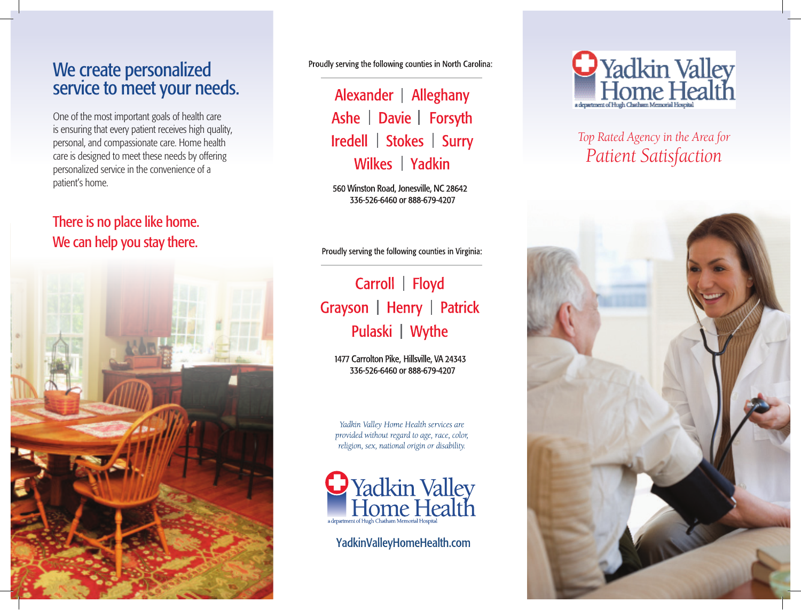## We create personalized service to meet your needs.

One of the most important goals of health care is ensuring that every patient receives high quality, personal, and compassionate care. Home health care is designed to meet these needs by offering personalized service in the convenience of a patient's home.

### There is no place like home. We can help you stay there.



Proudly serving the following counties in North Carolina:

Alexander | Alleghany Ashe | Davie | Forsyth Iredell | Stokes | Surry Wilkes | Yadkin

560 Winston Road, Jonesville, NC 28642 336-526-6460 or 888-679-4207

Proudly serving the following counties in Virginia:

# Carroll | Floyd Grayson | Henry | Patrick Pulaski | Wythe

1477 Carrolton Pike, Hillsville, VA 24343 336-526-6460 or 888-679-4207

Yadkin Valley Home Health services are provided without regard to age, race, color, religion, sex, national origin or disability.



YadkinValleyHomeHealth.com



## Top Rated Agency in the Area for Patient Satisfaction